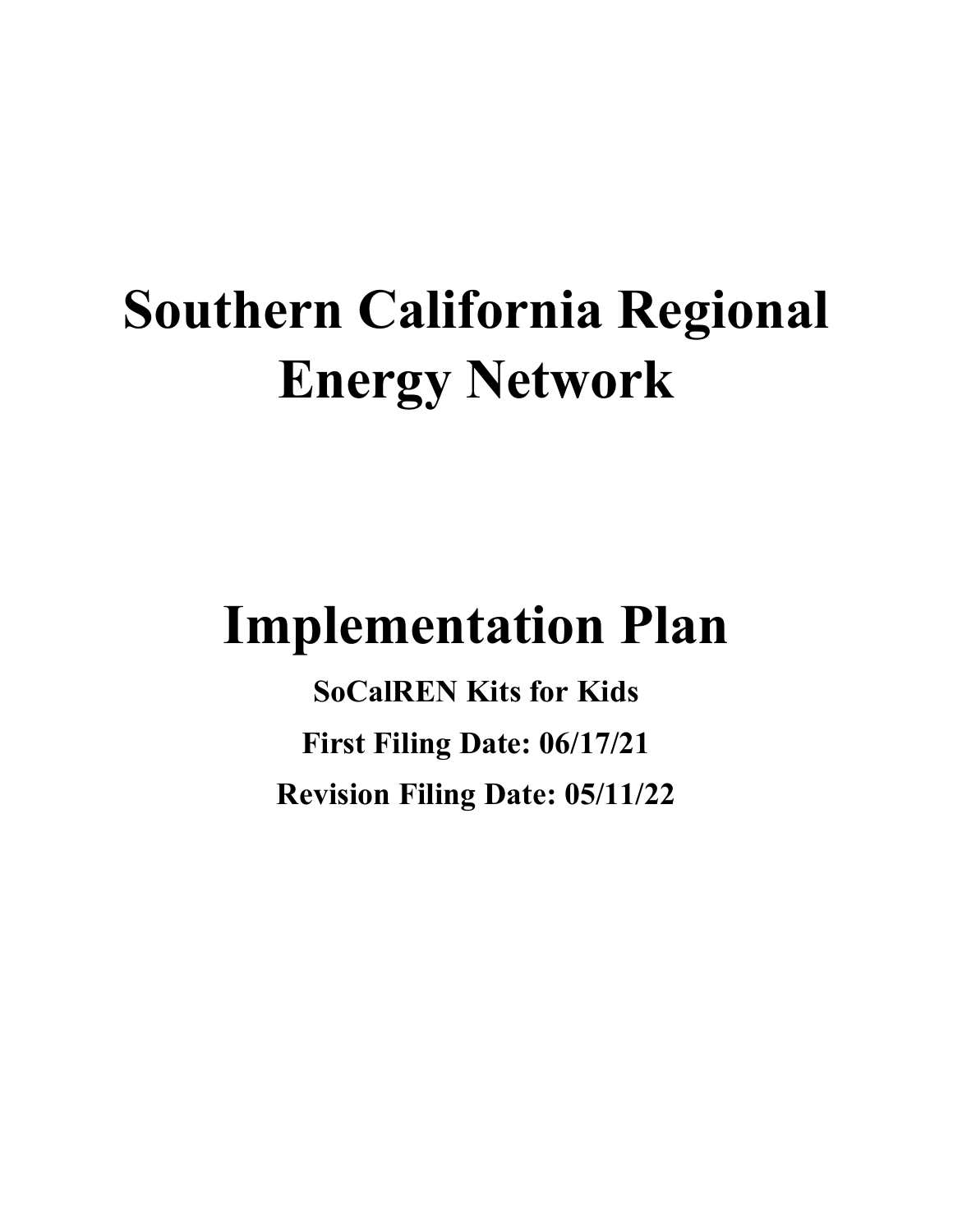# **Southern California Regional Energy Network**

# **Implementation Plan**

**SoCalREN Kits for Kids First Filing Date: 06/17/21 Revision Filing Date: 05/11/22**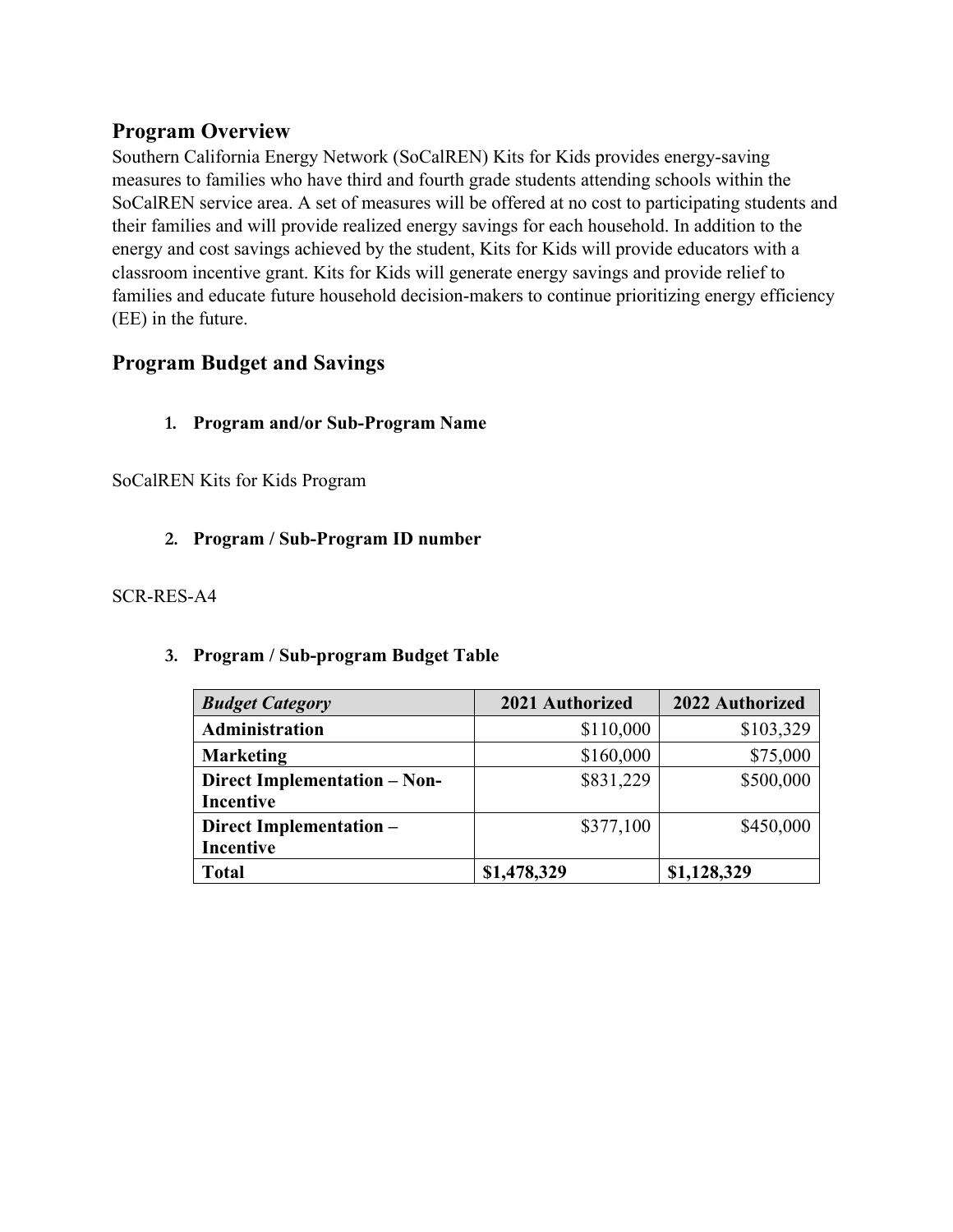# **Program Overview**

Southern California Energy Network (SoCalREN) Kits for Kids provides energy-saving measures to families who have third and fourth grade students attending schools within the SoCalREN service area. A set of measures will be offered at no cost to participating students and their families and will provide realized energy savings for each household. In addition to the energy and cost savings achieved by the student, Kits for Kids will provide educators with a classroom incentive grant. Kits for Kids will generate energy savings and provide relief to families and educate future household decision-makers to continue prioritizing energy efficiency (EE) in the future.

# **Program Budget and Savings**

### **1. Program and/or Sub-Program Name**

SoCalREN Kits for Kids Program

### **2. Program / Sub-Program ID number**

#### SCR-RES-A4

#### **3. Program / Sub-program Budget Table**

| <b>Budget Category</b>                           | 2021 Authorized | 2022 Authorized |
|--------------------------------------------------|-----------------|-----------------|
| <b>Administration</b>                            | \$110,000       | \$103,329       |
| <b>Marketing</b>                                 | \$160,000       | \$75,000        |
| Direct Implementation – Non-<br><b>Incentive</b> | \$831,229       | \$500,000       |
| Direct Implementation -                          | \$377,100       | \$450,000       |
| Incentive                                        |                 |                 |
| <b>Total</b>                                     | \$1,478,329     | \$1,128,329     |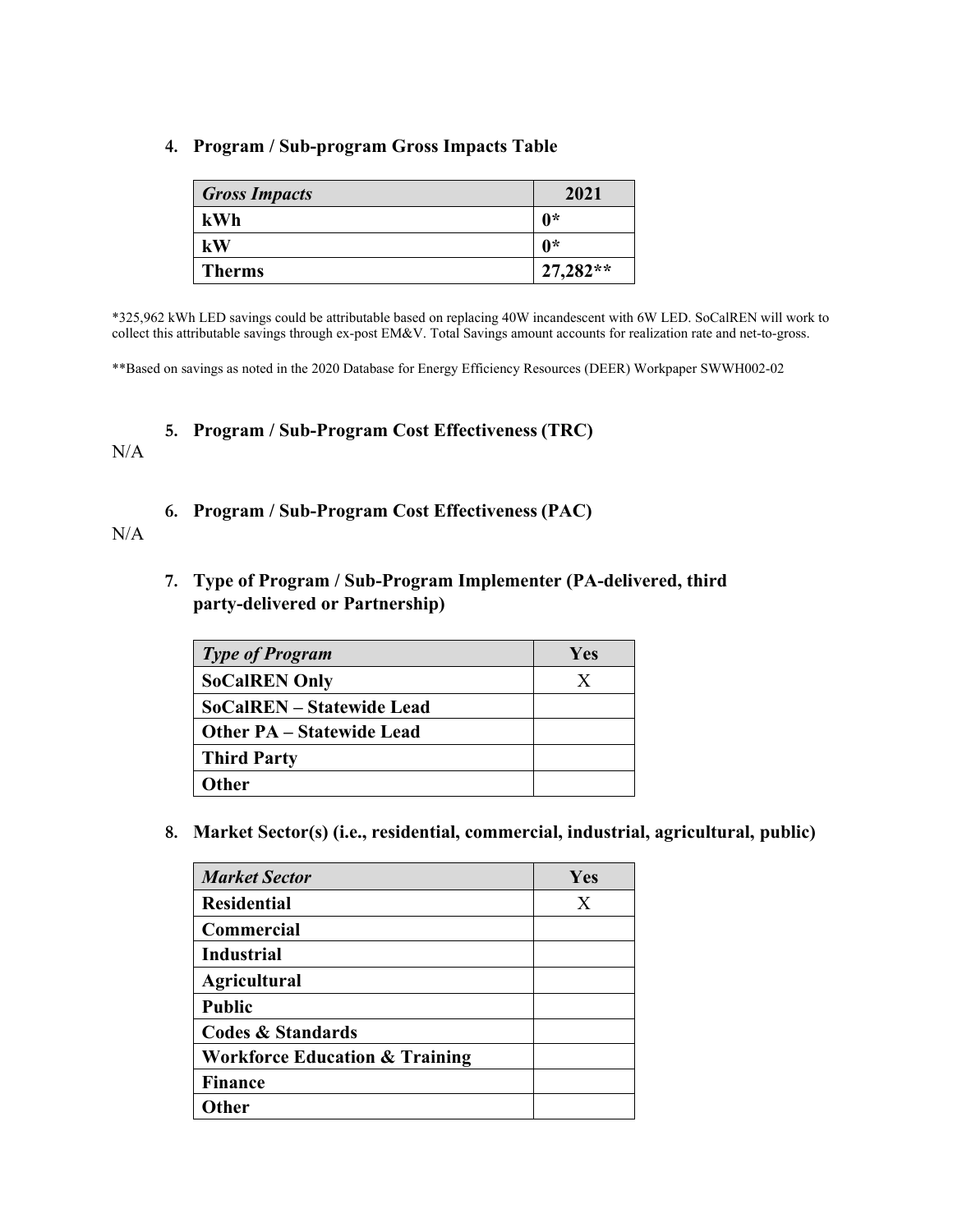#### **4. Program / Sub-program Gross Impacts Table**

| <b>Gross Impacts</b> | 2021       |
|----------------------|------------|
| kWh                  | Ո*         |
| kW                   | Ո*         |
| <b>Therms</b>        | $27,282**$ |

\*325,962 kWh LED savings could be attributable based on replacing 40W incandescent with 6W LED. SoCalREN will work to collect this attributable savings through ex-post EM&V. Total Savings amount accounts for realization rate and net-to-gross.

\*\*Based on savings as noted in the 2020 Database for Energy Efficiency Resources (DEER) Workpaper SWWH002-02

#### **5. Program / Sub-Program Cost Effectiveness (TRC)**

#### N/A

**6. Program / Sub-Program Cost Effectiveness (PAC)**

#### N/A

**7. Type of Program / Sub-Program Implementer (PA-delivered, third party-delivered or Partnership)**

| <b>Type of Program</b>           | Yes |
|----------------------------------|-----|
| <b>SoCalREN Only</b>             | X   |
| <b>SoCalREN – Statewide Lead</b> |     |
| <b>Other PA – Statewide Lead</b> |     |
| <b>Third Party</b>               |     |
| <b>Other</b>                     |     |
|                                  |     |

**8. Market Sector(s) (i.e., residential, commercial, industrial, agricultural, public)**

| <b>Market Sector</b>                      | Yes |
|-------------------------------------------|-----|
| <b>Residential</b>                        | X   |
| Commercial                                |     |
| <b>Industrial</b>                         |     |
| <b>Agricultural</b>                       |     |
| <b>Public</b>                             |     |
| <b>Codes &amp; Standards</b>              |     |
| <b>Workforce Education &amp; Training</b> |     |
| <b>Finance</b>                            |     |
| Other                                     |     |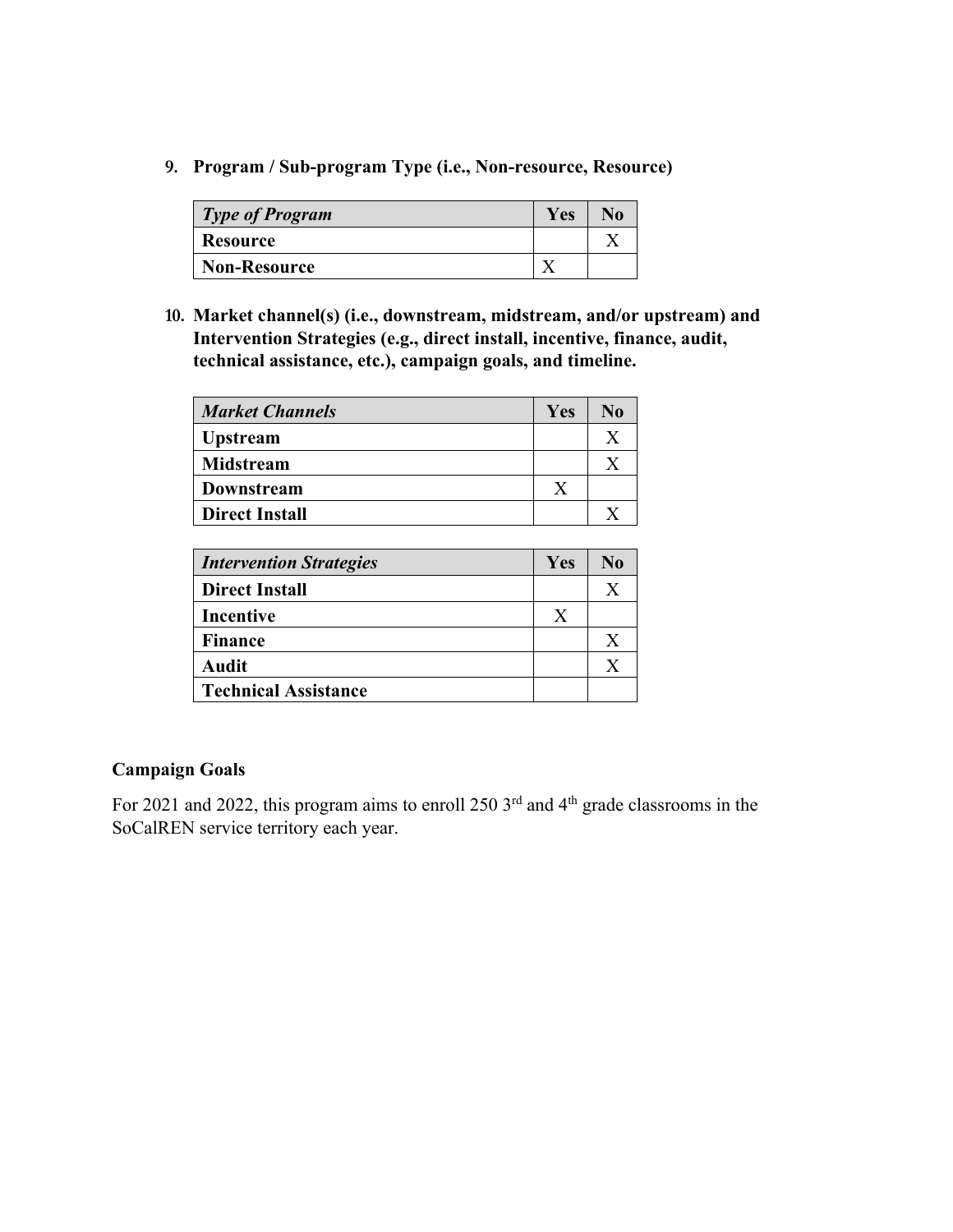**9. Program / Sub-program Type (i.e., Non-resource, Resource)**

| <b>Type of Program</b> | Yes |  |
|------------------------|-----|--|
| Resource               |     |  |
| <b>Non-Resource</b>    |     |  |

**10. Market channel(s) (i.e., downstream, midstream, and/or upstream) and Intervention Strategies (e.g., direct install, incentive, finance, audit, technical assistance, etc.), campaign goals, and timeline.**

| <b>Market Channels</b> | Yes | No |
|------------------------|-----|----|
| <b>Upstream</b>        |     |    |
| Midstream              |     |    |
| Downstream             |     |    |
| <b>Direct Install</b>  |     |    |

| <b>Intervention Strategies</b> | Yes              | N <sub>0</sub> |
|--------------------------------|------------------|----------------|
| <b>Direct Install</b>          |                  |                |
| Incentive                      | $\boldsymbol{X}$ |                |
| <b>Finance</b>                 |                  |                |
| <b>Audit</b>                   |                  |                |
| <b>Technical Assistance</b>    |                  |                |

#### **Campaign Goals**

For 2021 and 2022, this program aims to enroll 250  $3<sup>rd</sup>$  and  $4<sup>th</sup>$  grade classrooms in the SoCalREN service territory each year.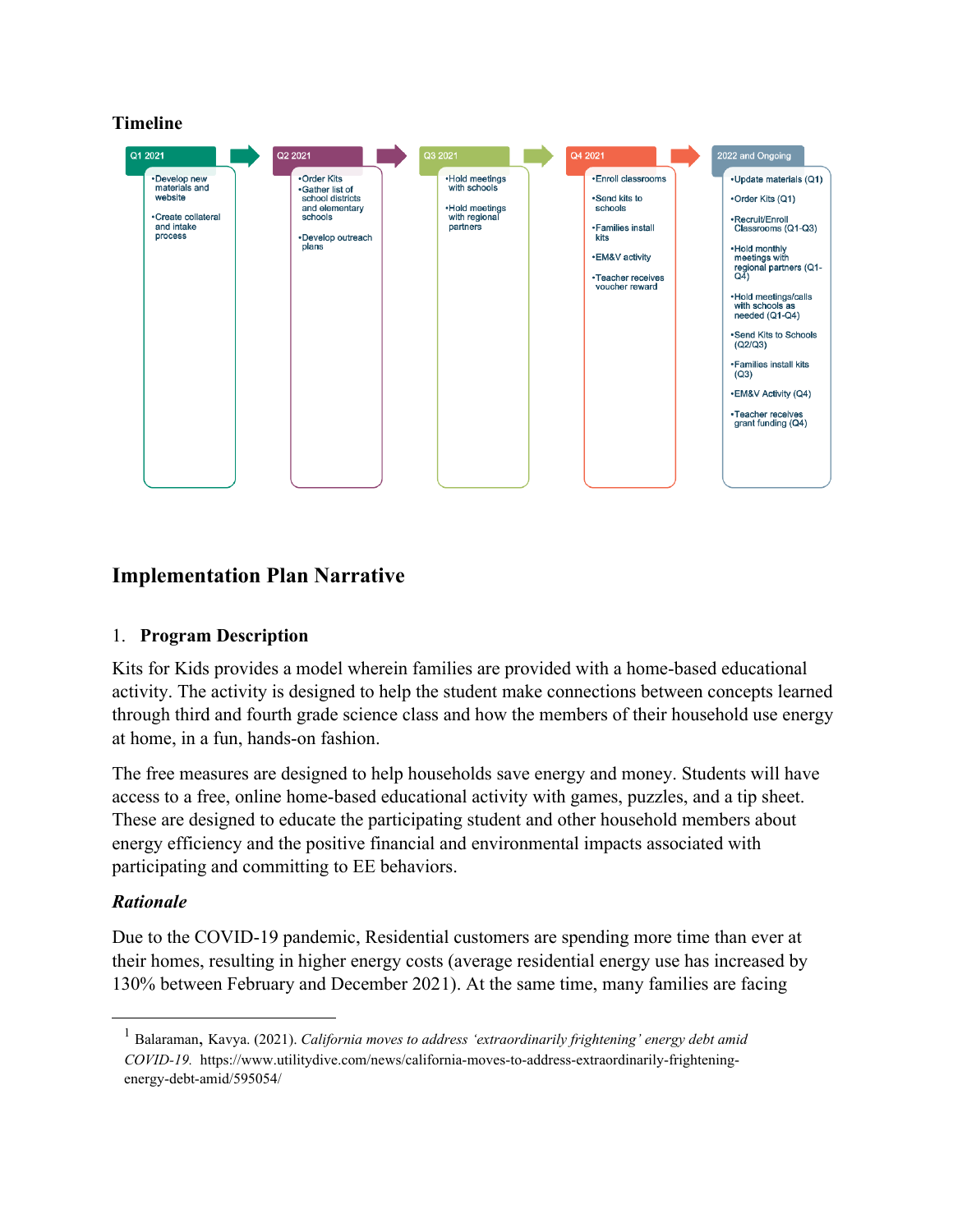#### **Timeline**



# **Implementation Plan Narrative**

#### 1. **Program Description**

Kits for Kids provides a model wherein families are provided with a home-based educational activity. The activity is designed to help the student make connections between concepts learned through third and fourth grade science class and how the members of their household use energy at home, in a fun, hands-on fashion.

The free measures are designed to help households save energy and money. Students will have access to a free, online home-based educational activity with games, puzzles, and a tip sheet. These are designed to educate the participating student and other household members about energy efficiency and the positive financial and environmental impacts associated with participating and committing to EE behaviors.

#### *Rationale*

Due to the COVID-19 pandemic, Residential customers are spending more time than ever at their homes, resulting in higher energy costs (average residential energy use has increased by 130% between February and December 202[1](#page-4-0)). At the same time, many families are facing

<span id="page-4-0"></span><sup>1</sup> Balaraman, Kavya. (2021). *California moves to address 'extraordinarily frightening' energy debt amid COVID-19.* https://www.utilitydive.com/news/california-moves-to-address-extraordinarily-frighteningenergy-debt-amid/595054/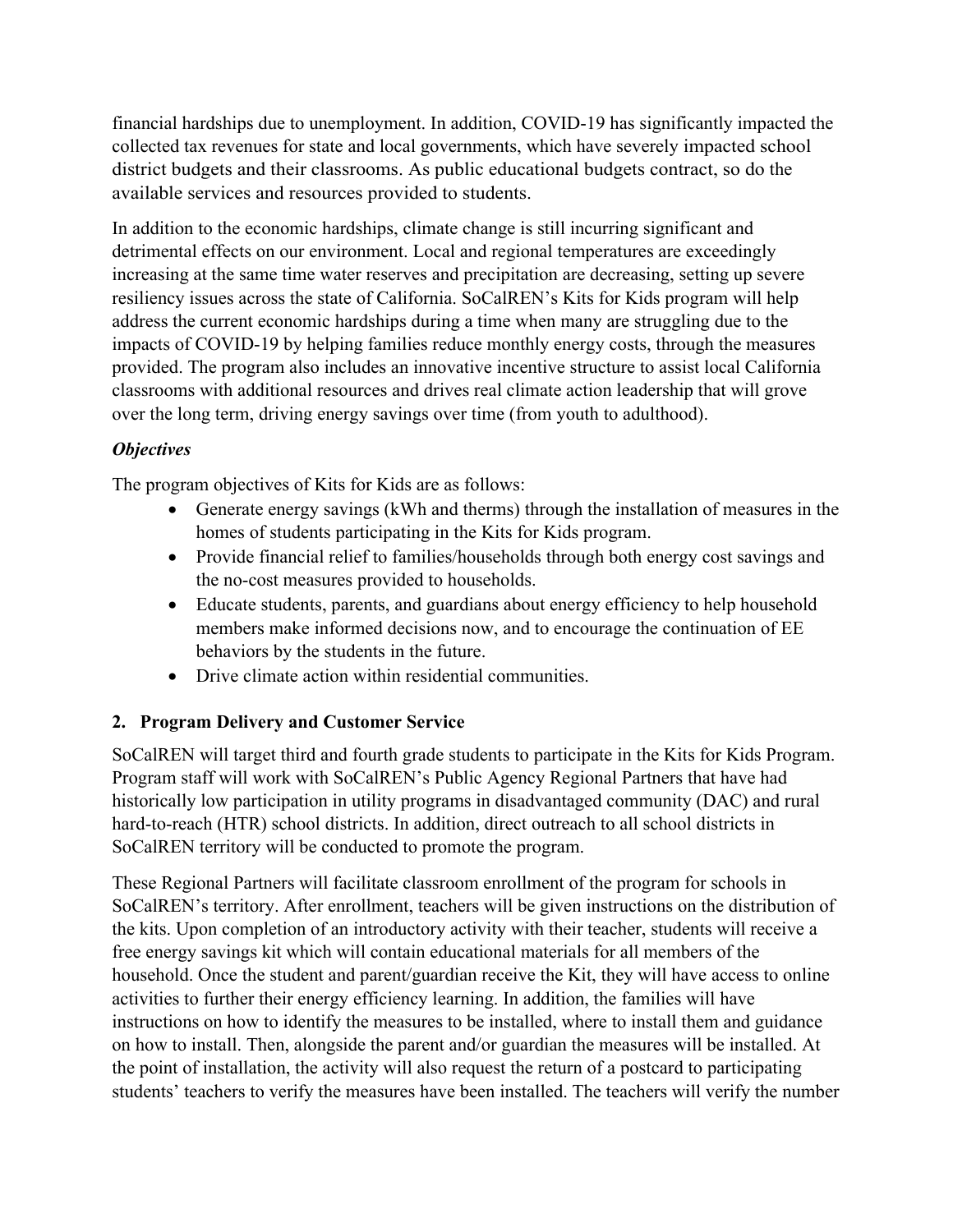financial hardships due to unemployment. In addition, COVID-19 has significantly impacted the collected tax revenues for state and local governments, which have severely impacted school district budgets and their classrooms. As public educational budgets contract, so do the available services and resources provided to students.

In addition to the economic hardships, climate change is still incurring significant and detrimental effects on our environment. Local and regional temperatures are exceedingly increasing at the same time water reserves and precipitation are decreasing, setting up severe resiliency issues across the state of California. SoCalREN's Kits for Kids program will help address the current economic hardships during a time when many are struggling due to the impacts of COVID-19 by helping families reduce monthly energy costs, through the measures provided. The program also includes an innovative incentive structure to assist local California classrooms with additional resources and drives real climate action leadership that will grove over the long term, driving energy savings over time (from youth to adulthood).

### *Objectives*

The program objectives of Kits for Kids are as follows:

- Generate energy savings (kWh and therms) through the installation of measures in the homes of students participating in the Kits for Kids program.
- Provide financial relief to families/households through both energy cost savings and the no-cost measures provided to households.
- Educate students, parents, and guardians about energy efficiency to help household members make informed decisions now, and to encourage the continuation of EE behaviors by the students in the future.
- Drive climate action within residential communities.

# **2. Program Delivery and Customer Service**

SoCalREN will target third and fourth grade students to participate in the Kits for Kids Program. Program staff will work with SoCalREN's Public Agency Regional Partners that have had historically low participation in utility programs in disadvantaged community (DAC) and rural hard-to-reach (HTR) school districts. In addition, direct outreach to all school districts in SoCalREN territory will be conducted to promote the program.

These Regional Partners will facilitate classroom enrollment of the program for schools in SoCalREN's territory. After enrollment, teachers will be given instructions on the distribution of the kits. Upon completion of an introductory activity with their teacher, students will receive a free energy savings kit which will contain educational materials for all members of the household. Once the student and parent/guardian receive the Kit, they will have access to online activities to further their energy efficiency learning. In addition, the families will have instructions on how to identify the measures to be installed, where to install them and guidance on how to install. Then, alongside the parent and/or guardian the measures will be installed. At the point of installation, the activity will also request the return of a postcard to participating students' teachers to verify the measures have been installed. The teachers will verify the number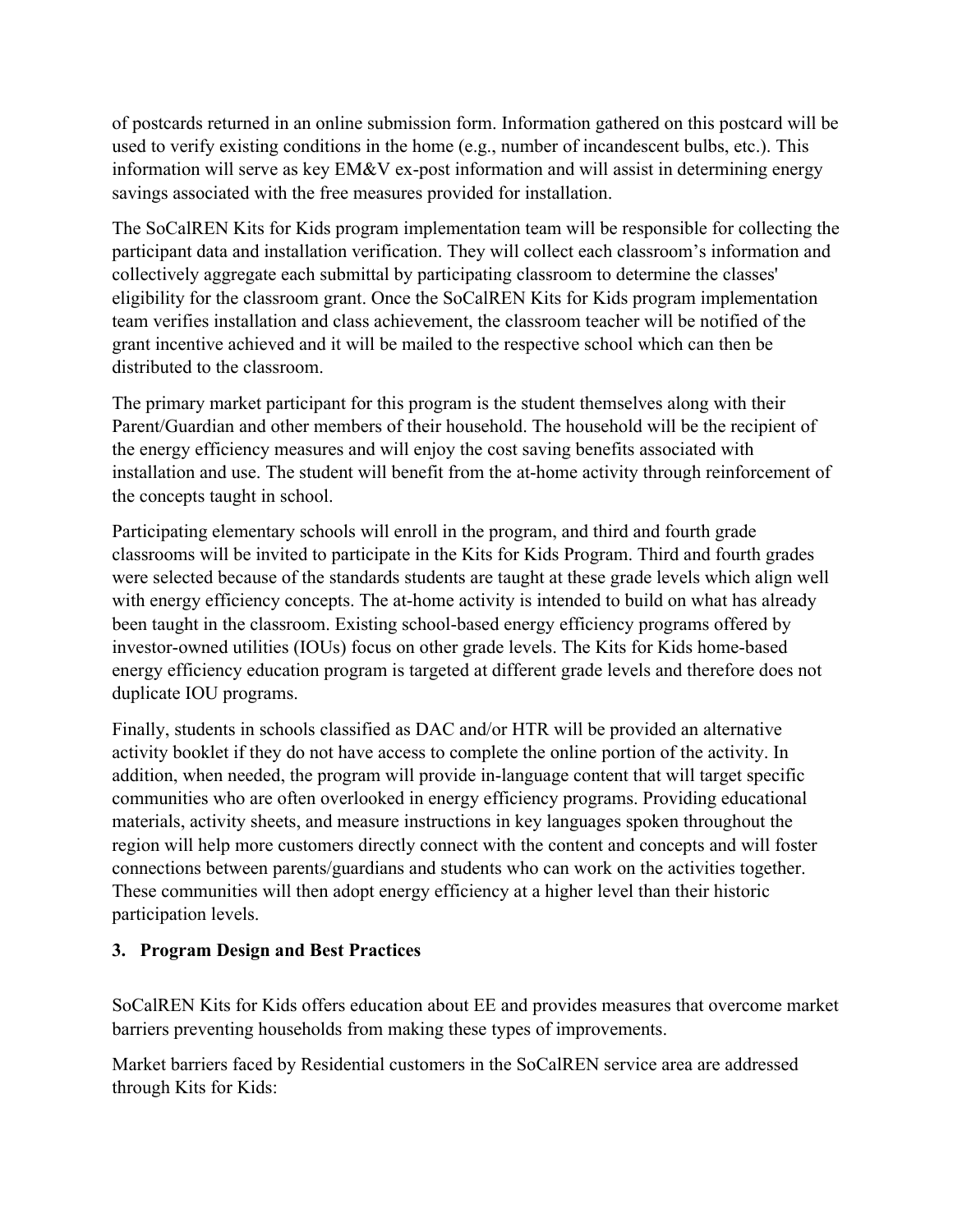of postcards returned in an online submission form. Information gathered on this postcard will be used to verify existing conditions in the home (e.g., number of incandescent bulbs, etc.). This information will serve as key EM&V ex-post information and will assist in determining energy savings associated with the free measures provided for installation.

The SoCalREN Kits for Kids program implementation team will be responsible for collecting the participant data and installation verification. They will collect each classroom's information and collectively aggregate each submittal by participating classroom to determine the classes' eligibility for the classroom grant. Once the SoCalREN Kits for Kids program implementation team verifies installation and class achievement, the classroom teacher will be notified of the grant incentive achieved and it will be mailed to the respective school which can then be distributed to the classroom.

The primary market participant for this program is the student themselves along with their Parent/Guardian and other members of their household. The household will be the recipient of the energy efficiency measures and will enjoy the cost saving benefits associated with installation and use. The student will benefit from the at-home activity through reinforcement of the concepts taught in school.

Participating elementary schools will enroll in the program, and third and fourth grade classrooms will be invited to participate in the Kits for Kids Program. Third and fourth grades were selected because of the standards students are taught at these grade levels which align well with energy efficiency concepts. The at-home activity is intended to build on what has already been taught in the classroom. Existing school-based energy efficiency programs offered by investor-owned utilities (IOUs) focus on other grade levels. The Kits for Kids home-based energy efficiency education program is targeted at different grade levels and therefore does not duplicate IOU programs.

Finally, students in schools classified as DAC and/or HTR will be provided an alternative activity booklet if they do not have access to complete the online portion of the activity. In addition, when needed, the program will provide in-language content that will target specific communities who are often overlooked in energy efficiency programs. Providing educational materials, activity sheets, and measure instructions in key languages spoken throughout the region will help more customers directly connect with the content and concepts and will foster connections between parents/guardians and students who can work on the activities together. These communities will then adopt energy efficiency at a higher level than their historic participation levels.

### **3. Program Design and Best Practices**

SoCalREN Kits for Kids offers education about EE and provides measures that overcome market barriers preventing households from making these types of improvements.

Market barriers faced by Residential customers in the SoCalREN service area are addressed through Kits for Kids: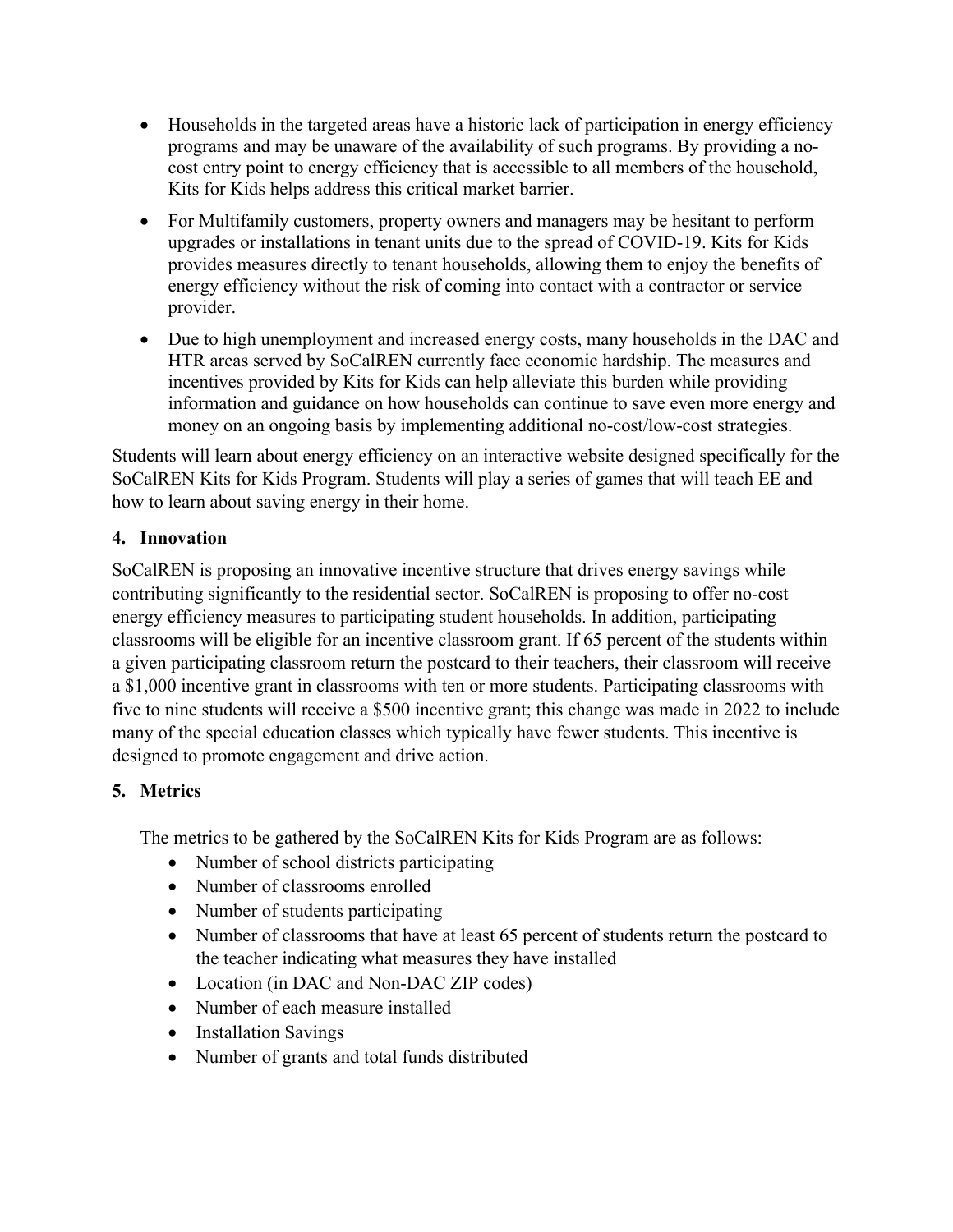- Households in the targeted areas have a historic lack of participation in energy efficiency programs and may be unaware of the availability of such programs. By providing a nocost entry point to energy efficiency that is accessible to all members of the household, Kits for Kids helps address this critical market barrier.
- For Multifamily customers, property owners and managers may be hesitant to perform upgrades or installations in tenant units due to the spread of COVID-19. Kits for Kids provides measures directly to tenant households, allowing them to enjoy the benefits of energy efficiency without the risk of coming into contact with a contractor or service provider.
- Due to high unemployment and increased energy costs, many households in the DAC and HTR areas served by SoCalREN currently face economic hardship. The measures and incentives provided by Kits for Kids can help alleviate this burden while providing information and guidance on how households can continue to save even more energy and money on an ongoing basis by implementing additional no-cost/low-cost strategies.

Students will learn about energy efficiency on an interactive website designed specifically for the SoCalREN Kits for Kids Program. Students will play a series of games that will teach EE and how to learn about saving energy in their home.

#### **4. Innovation**

SoCalREN is proposing an innovative incentive structure that drives energy savings while contributing significantly to the residential sector. SoCalREN is proposing to offer no-cost energy efficiency measures to participating student households. In addition, participating classrooms will be eligible for an incentive classroom grant. If 65 percent of the students within a given participating classroom return the postcard to their teachers, their classroom will receive a \$1,000 incentive grant in classrooms with ten or more students. Participating classrooms with five to nine students will receive a \$500 incentive grant; this change was made in 2022 to include many of the special education classes which typically have fewer students. This incentive is designed to promote engagement and drive action.

### **5. Metrics**

The metrics to be gathered by the SoCalREN Kits for Kids Program are as follows:

- Number of school districts participating
- Number of classrooms enrolled
- Number of students participating
- Number of classrooms that have at least 65 percent of students return the postcard to the teacher indicating what measures they have installed
- Location (in DAC and Non-DAC ZIP codes)
- Number of each measure installed
- Installation Savings
- Number of grants and total funds distributed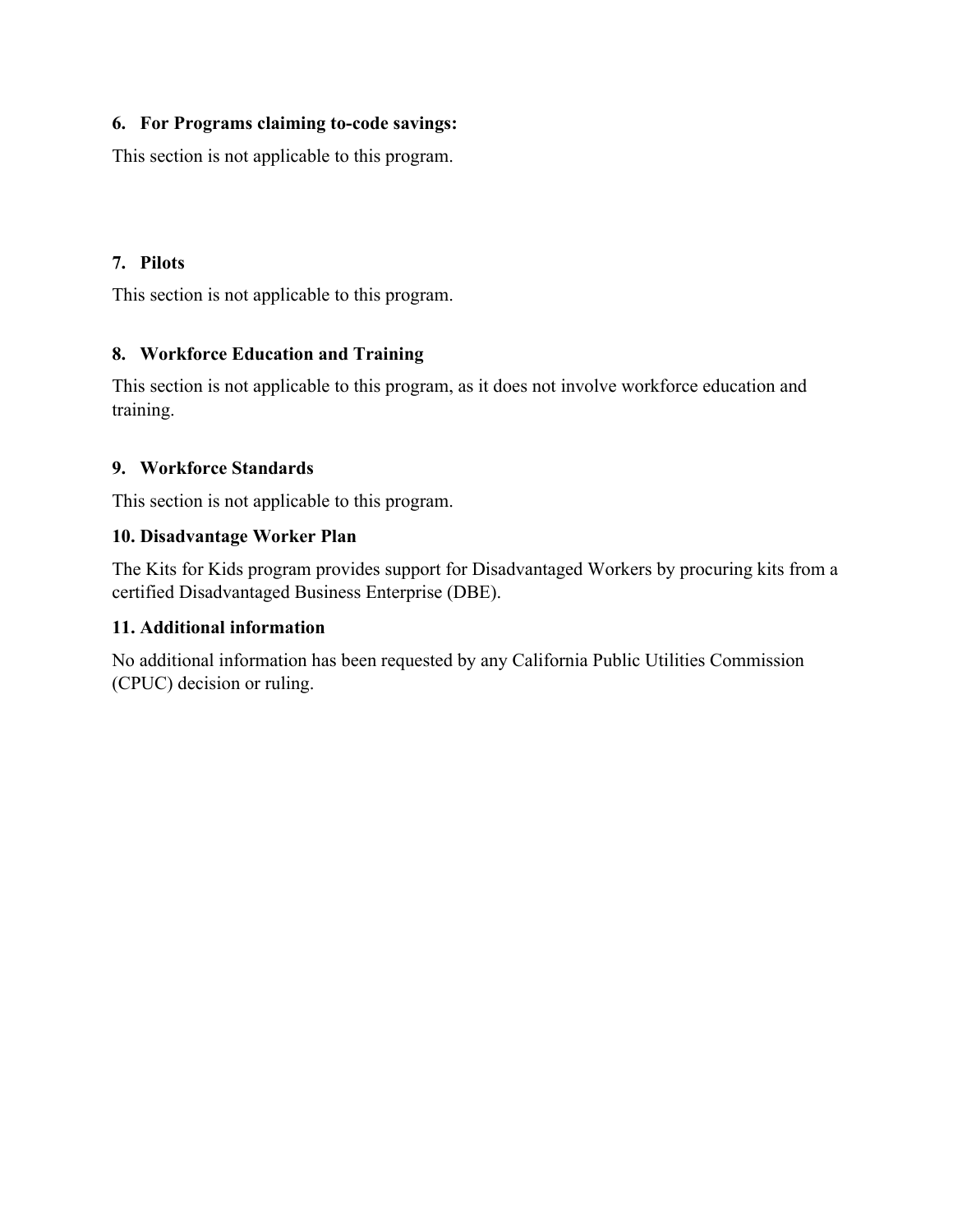#### **6. For Programs claiming to-code savings:**

This section is not applicable to this program.

#### **7. Pilots**

This section is not applicable to this program.

### **8. Workforce Education and Training**

This section is not applicable to this program, as it does not involve workforce education and training.

#### **9. Workforce Standards**

This section is not applicable to this program.

#### **10. Disadvantage Worker Plan**

The Kits for Kids program provides support for Disadvantaged Workers by procuring kits from a certified Disadvantaged Business Enterprise (DBE).

#### **11. Additional information**

No additional information has been requested by any California Public Utilities Commission (CPUC) decision or ruling.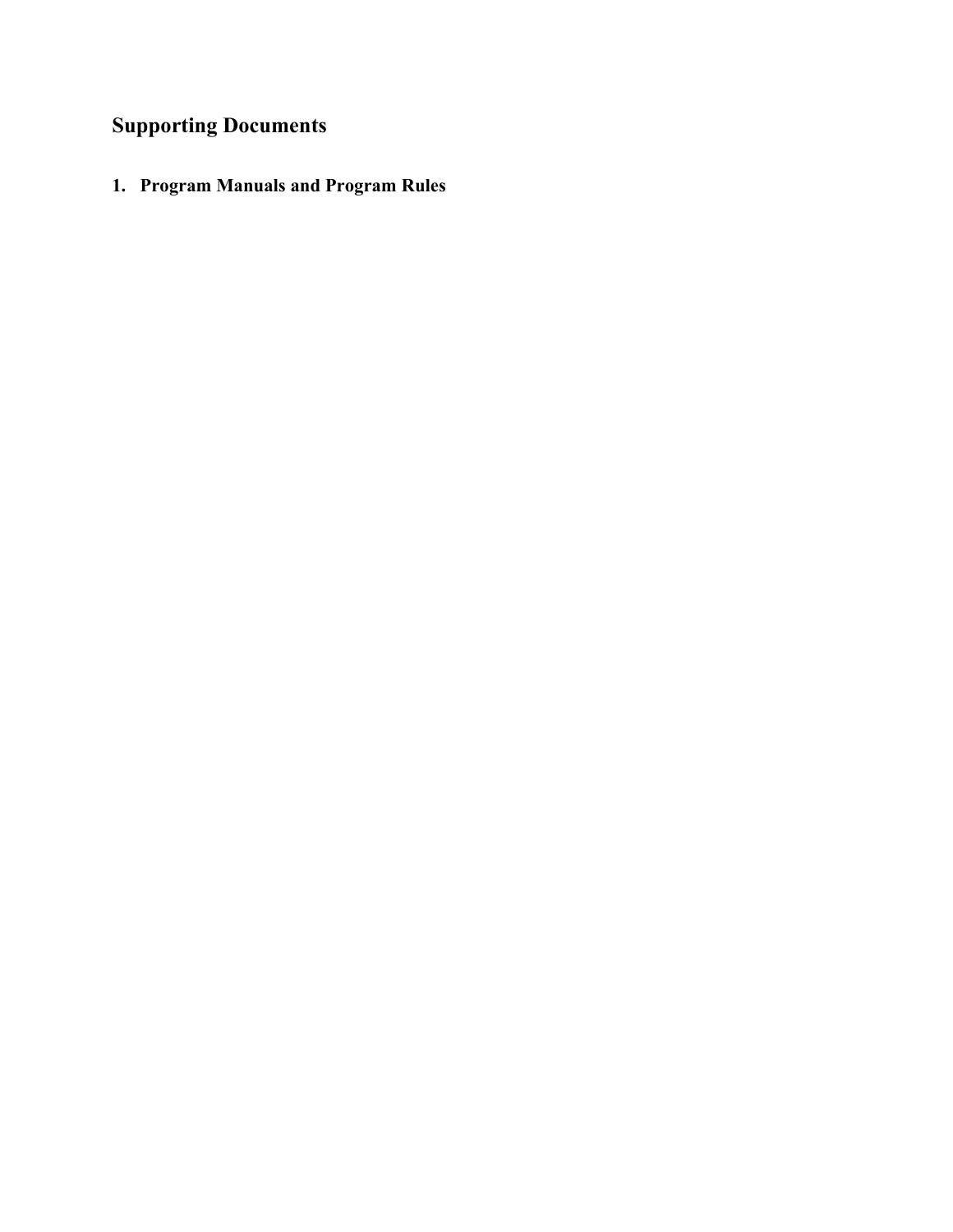# **Supporting Documents**

**1. Program Manuals and Program Rules**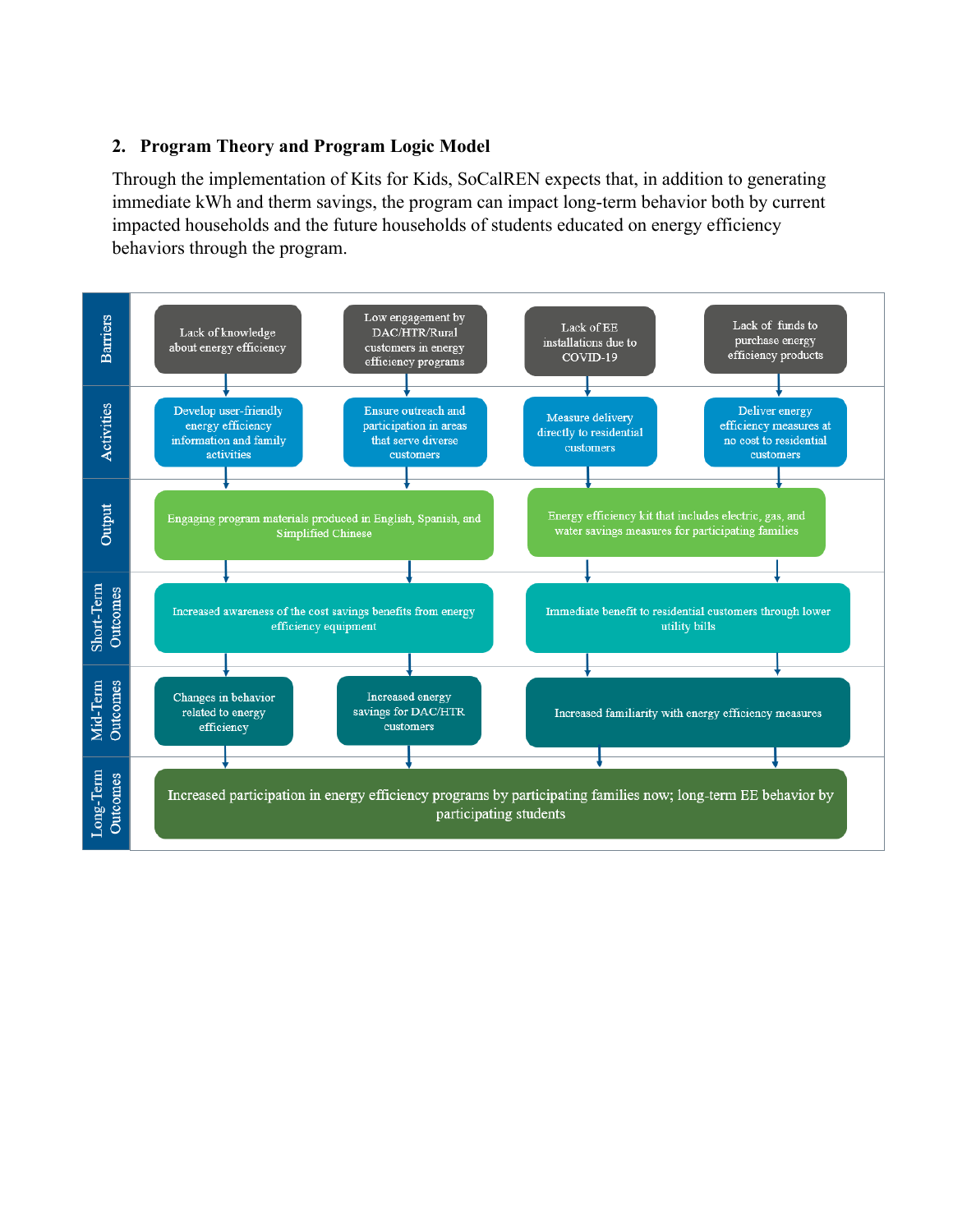#### **2. Program Theory and Program Logic Model**

Through the implementation of Kits for Kids, SoCalREN expects that, in addition to generating immediate kWh and therm savings, the program can impact long-term behavior both by current impacted households and the future households of students educated on energy efficiency behaviors through the program.

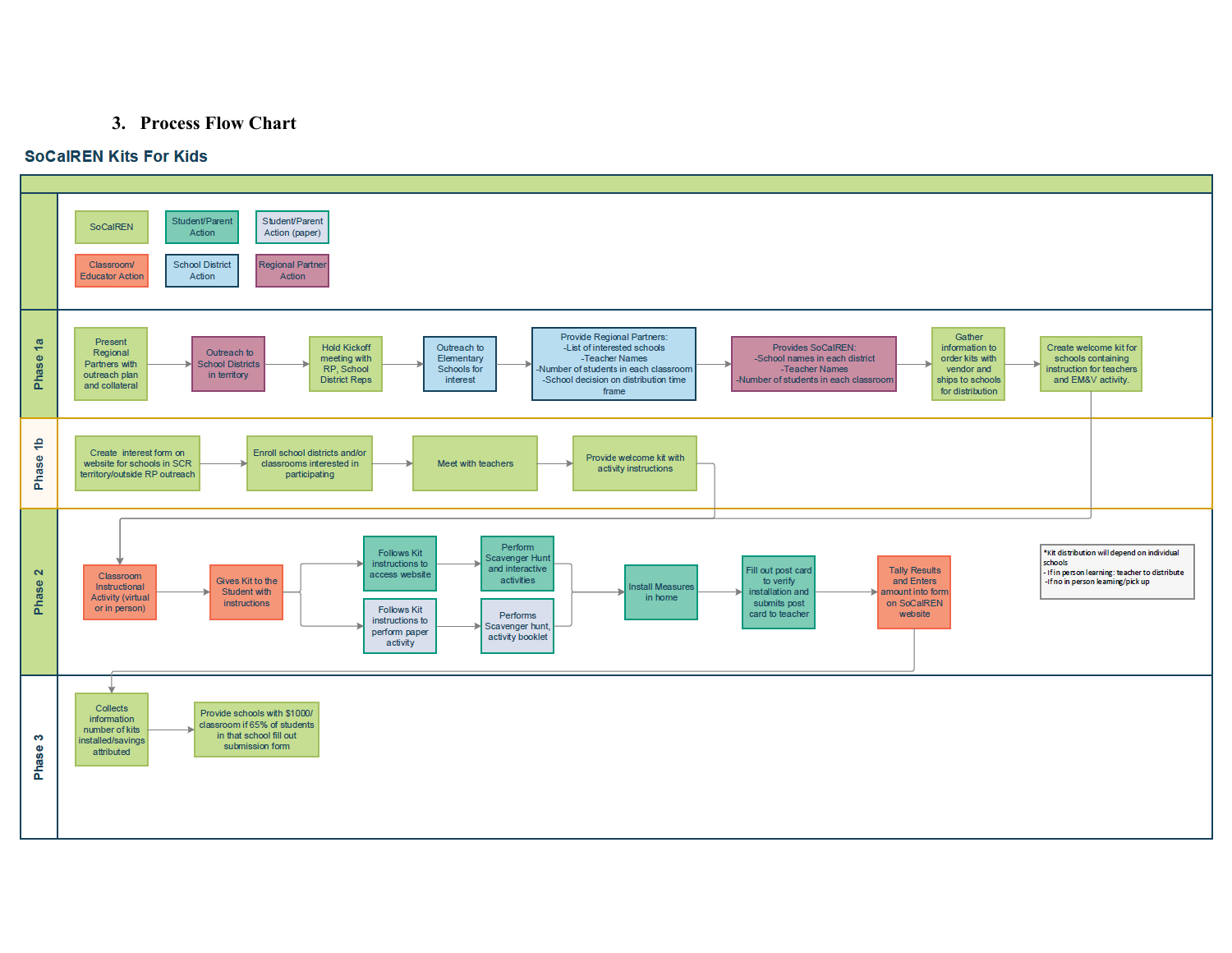#### **3. Process Flow Chart**

#### **SoCalREN Kits For Kids**